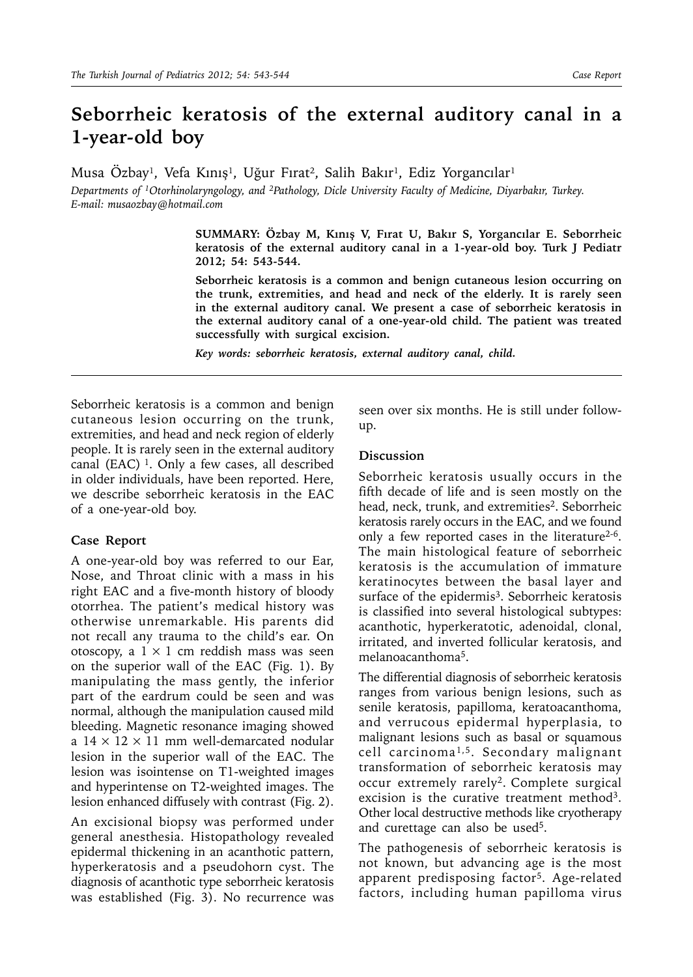## **Seborrheic keratosis of the external auditory canal in a 1-year-old boy**

Musa Özbay<sup>ı</sup>, Vefa Kınış<sup>ı</sup>, Uğur Fırat<sup>2</sup>, Salih Bakır<sup>ı</sup>, Ediz Yorgancılar<sup>ı</sup>

*Departments of 1Otorhinolaryngology, and 2Pathology, Dicle University Faculty of Medicine, Diyarbakır, Turkey. E-mail: musaozbay@hotmail.com*

> **SUMMARY: Özbay M, Kınış V, Fırat U, Bakır S, Yorgancılar E. Seborrheic keratosis of the external auditory canal in a 1-year-old boy. Turk J Pediatr 2012; 54: 543-544.**

> **Seborrheic keratosis is a common and benign cutaneous lesion occurring on the trunk, extremities, and head and neck of the elderly. It is rarely seen in the external auditory canal. We present a case of seborrheic keratosis in the external auditory canal of a one-year-old child. The patient was treated successfully with surgical excision.**

*Key words: seborrheic keratosis, external auditory canal, child.*

Seborrheic keratosis is a common and benign cutaneous lesion occurring on the trunk, extremities, and head and neck region of elderly people. It is rarely seen in the external auditory canal (EAC)  $1$ . Only a few cases, all described in older individuals, have been reported. Here, we describe seborrheic keratosis in the EAC of a one-year-old boy.

## **Case Report**

A one-year-old boy was referred to our Ear, Nose, and Throat clinic with a mass in his right EAC and a five-month history of bloody otorrhea. The patient's medical history was otherwise unremarkable. His parents did not recall any trauma to the child's ear. On otoscopy, a  $1 \times 1$  cm reddish mass was seen on the superior wall of the EAC (Fig. 1). By manipulating the mass gently, the inferior part of the eardrum could be seen and was normal, although the manipulation caused mild bleeding. Magnetic resonance imaging showed a  $14 \times 12 \times 11$  mm well-demarcated nodular lesion in the superior wall of the EAC. The lesion was isointense on T1-weighted images and hyperintense on T2-weighted images. The lesion enhanced diffusely with contrast (Fig. 2).

An excisional biopsy was performed under general anesthesia. Histopathology revealed epidermal thickening in an acanthotic pattern, hyperkeratosis and a pseudohorn cyst. The diagnosis of acanthotic type seborrheic keratosis was established (Fig. 3). No recurrence was seen over six months. He is still under followup.

## **Discussion**

Seborrheic keratosis usually occurs in the fifth decade of life and is seen mostly on the head, neck, trunk, and extremities<sup>2</sup>. Seborrheic keratosis rarely occurs in the EAC, and we found only a few reported cases in the literature<sup>2-6</sup>. The main histological feature of seborrheic keratosis is the accumulation of immature keratinocytes between the basal layer and surface of the epidermis<sup>3</sup>. Seborrheic keratosis is classified into several histological subtypes: acanthotic, hyperkeratotic, adenoidal, clonal, irritated, and inverted follicular keratosis, and melanoacanthoma5.

The differential diagnosis of seborrheic keratosis ranges from various benign lesions, such as senile keratosis, papilloma, keratoacanthoma, and verrucous epidermal hyperplasia, to malignant lesions such as basal or squamous cell carcinoma1,5. Secondary malignant transformation of seborrheic keratosis may occur extremely rarely<sup>2</sup>. Complete surgical excision is the curative treatment method<sup>3</sup>. Other local destructive methods like cryotherapy and curettage can also be used<sup>5</sup>.

The pathogenesis of seborrheic keratosis is not known, but advancing age is the most apparent predisposing factor5. Age-related factors, including human papilloma virus